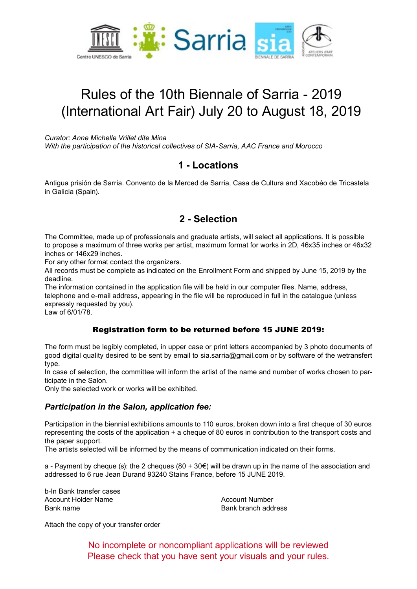

# Rules of the 10th Biennale of Sarria - 2019 (International Art Fair) July 20 to August 18, 2019

*Curator: Anne Michelle Vrillet dite Mina*

*With the participation of the historical collectives of SIA-Sarria, AAC France and Morocco*

### **1 - Locations**

Antigua prisión de Sarria. Convento de la Merced de Sarria, Casa de Cultura and Xacobéo de Tricastela in Galicia (Spain).

### **2 - Selection**

The Committee, made up of professionals and graduate artists, will select all applications. It is possible to propose a maximum of three works per artist, maximum format for works in 2D, 46x35 inches or 46x32 inches or 146x29 inches.

For any other format contact the organizers.

All records must be complete as indicated on the Enrollment Form and shipped by June 15, 2019 by the deadline.

The information contained in the application file will be held in our computer files. Name, address, telephone and e-mail address, appearing in the file will be reproduced in full in the catalogue (unless expressly requested by you).

Law of 6/01/78.

#### Registration form to be returned before 15 JUNE 2019:

The form must be legibly completed, in upper case or print letters accompanied by 3 photo documents of good digital quality desired to be sent by email to sia.sarria@gmail.com or by software of the wetransfert type.

In case of selection, the committee will inform the artist of the name and number of works chosen to participate in the Salon.

Only the selected work or works will be exhibited.

#### *Participation in the Salon, application fee:*

Participation in the biennial exhibitions amounts to 110 euros, broken down into a first cheque of 30 euros representing the costs of the application + a cheque of 80 euros in contribution to the transport costs and the paper support.

The artists selected will be informed by the means of communication indicated on their forms.

a - Payment by cheque (s): the 2 cheques (80 + 30 $\epsilon$ ) will be drawn up in the name of the association and addressed to 6 rue Jean Durand 93240 Stains France, before 15 JUNE 2019.

b-In Bank transfer cases Account Holder Name Account Number Bank name Bank branch address

Attach the copy of your transfer order

No incomplete or noncompliant applications will be reviewed Please check that you have sent your visuals and your rules.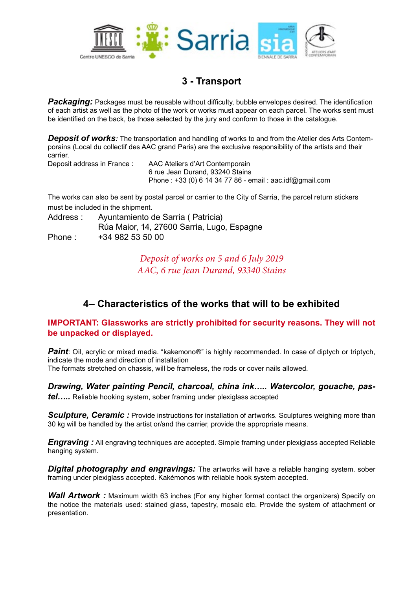

# **3 - Transport**

**Packaging:** Packages must be reusable without difficulty, bubble envelopes desired. The identification of each artist as well as the photo of the work or works must appear on each parcel. The works sent must be identified on the back, be those selected by the jury and conform to those in the catalogue.

*Deposit of works:* The transportation and handling of works to and from the Atelier des Arts Contemporains (Local du collectif des AAC grand Paris) are the exclusive responsibility of the artists and their carrier.

Deposit address in France : AAC Ateliers d'Art Contemporain 6 rue Jean Durand, 93240 Stains Phone : +33 (0) 6 14 34 77 86 - email : aac.idf@gmail.com

The works can also be sent by postal parcel or carrier to the City of Sarria, the parcel return stickers must be included in the shipment.

Address : Ayuntamiento de Sarria ( Patricia) Rúa Maior, 14, 27600 Sarria, Lugo, Espagne Phone: +34 982 53 50 00

> *Deposit of works on 5 and 6 July 2019 AAC, 6 rue Jean Durand, 93340 Stains*

# **4– Characteristics of the works that will to be exhibited**

#### **IMPORTANT: Glassworks are strictly prohibited for security reasons. They will not be unpacked or displayed.**

*Paint*: Oil, acrylic or mixed media. "kakemono®" is highly recommended. In case of diptych or triptych, indicate the mode and direction of installation The formats stretched on chassis, will be frameless, the rods or cover nails allowed.

*Drawing, Water painting Pencil, charcoal, china ink….. Watercolor, gouache, pastel…..* Reliable hooking system, sober framing under plexiglass accepted

**Sculpture, Ceramic:** Provide instructions for installation of artworks. Sculptures weighing more than 30 kg will be handled by the artist or/and the carrier, provide the appropriate means.

*Engraving :* All engraving techniques are accepted. Simple framing under plexiglass accepted Reliable hanging system.

*Digital photography and engravings:* The artworks will have a reliable hanging system. sober framing under plexiglass accepted. Kakémonos with reliable hook system accepted.

**Wall Artwork**: Maximum width 63 inches (For any higher format contact the organizers) Specify on the notice the materials used: stained glass, tapestry, mosaic etc. Provide the system of attachment or presentation.